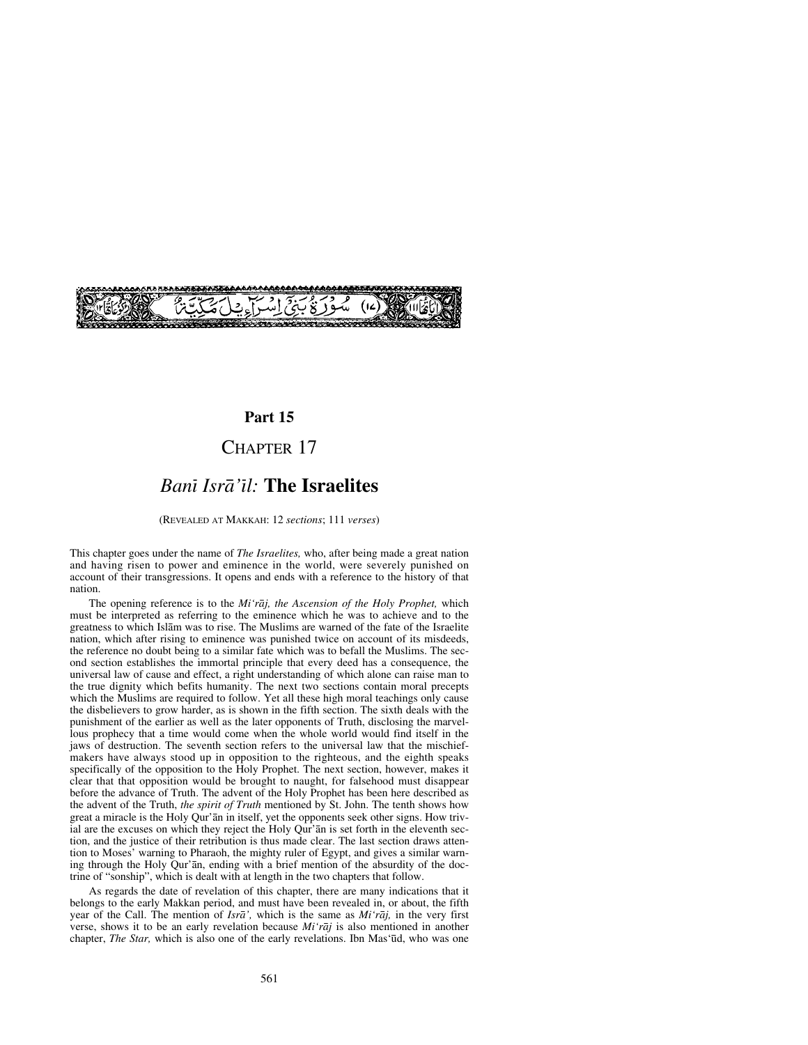

### **Part 15**

## CHAPTER 17

## *Banß Isrå'ßl:* **The Israelites**

(REVEALED AT MAKKAH: 12 *sections*; 111 *verses*)

This chapter goes under the name of *The Israelites,* who, after being made a great nation and having risen to power and eminence in the world, were severely punished on account of their transgressions. It opens and ends with a reference to the history of that nation.

The opening reference is to the *Mi'råj, the Ascension of the Holy Prophet,* which must be interpreted as referring to the eminence which he was to achieve and to the greatness to which Islåm was to rise. The Muslims are warned of the fate of the Israelite nation, which after rising to eminence was punished twice on account of its misdeeds, the reference no doubt being to a similar fate which was to befall the Muslims. The second section establishes the immortal principle that every deed has a consequence, the universal law of cause and effect, a right understanding of which alone can raise man to the true dignity which befits humanity. The next two sections contain moral precepts which the Muslims are required to follow. Yet all these high moral teachings only cause the disbelievers to grow harder, as is shown in the fifth section. The sixth deals with the punishment of the earlier as well as the later opponents of Truth, disclosing the marvellous prophecy that a time would come when the whole world would find itself in the jaws of destruction. The seventh section refers to the universal law that the mischiefmakers have always stood up in opposition to the righteous, and the eighth speaks specifically of the opposition to the Holy Prophet. The next section, however, makes it clear that that opposition would be brought to naught, for falsehood must disappear before the advance of Truth. The advent of the Holy Prophet has been here described as the advent of the Truth, *the spirit of Truth* mentioned by St. John. The tenth shows how great a miracle is the Holy Qur'ån in itself, yet the opponents seek other signs. How trivial are the excuses on which they reject the Holy Qur'ån is set forth in the eleventh section, and the justice of their retribution is thus made clear. The last section draws attention to Moses' warning to Pharaoh, the mighty ruler of Egypt, and gives a similar warning through the Holy Qur'ån, ending with a brief mention of the absurdity of the doctrine of "sonship", which is dealt with at length in the two chapters that follow.

As regards the date of revelation of this chapter, there are many indications that it belongs to the early Makkan period, and must have been revealed in, or about, the fifth year of the Call. The mention of *Isrå',* which is the same as *Mi'råj,* in the very first verse, shows it to be an early revelation because *Mi'råj* is also mentioned in another chapter, *The Star*, which is also one of the early revelations. Ibn Mas'ūd, who was one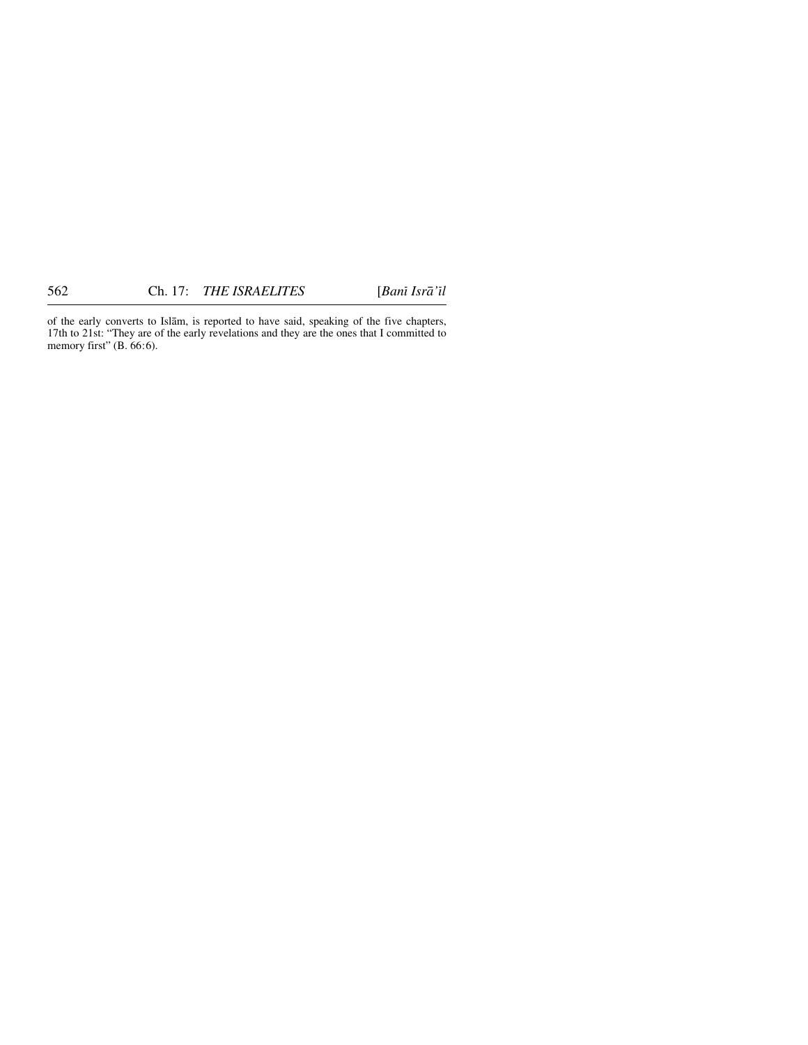of the early converts to Islåm, is reported to have said, speaking of the five chapters, 17th to 21st: "They are of the early revelations and they are the ones that I committed to memory first" (B. 66:6).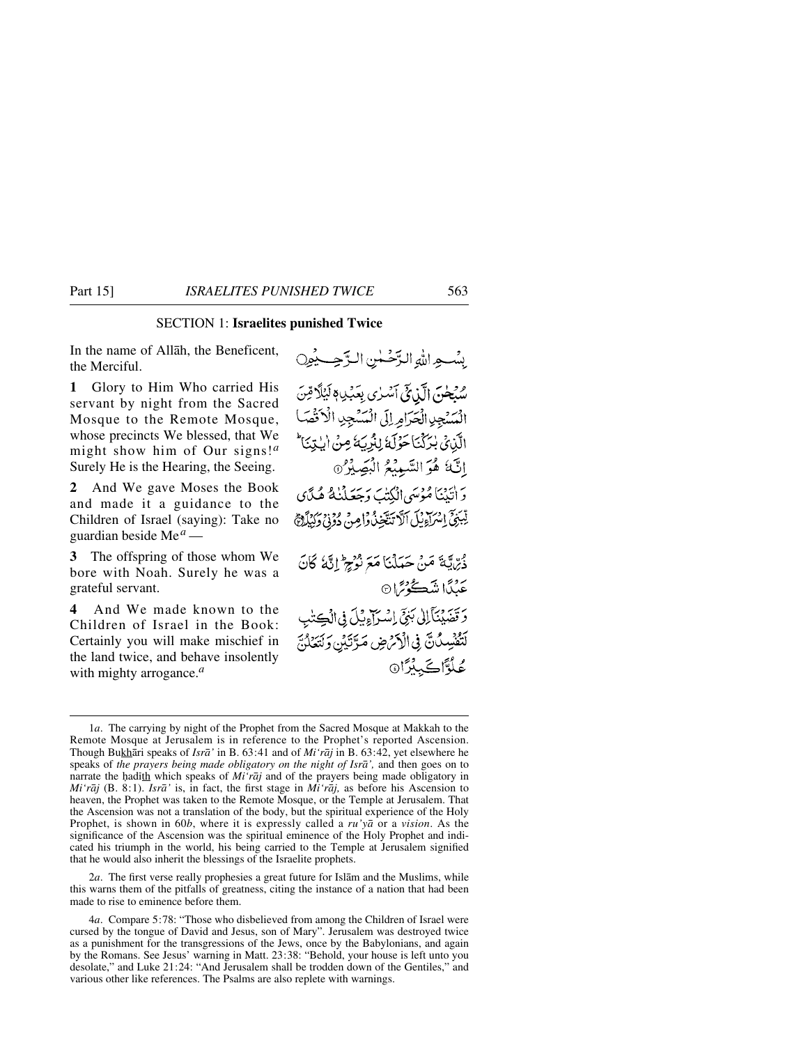#### SECTION 1: **Israelites punished Twice**

In the name of Allåh, the Beneficent, the Merciful.

**1** Glory to Him Who carried His servant by night from the Sacred Mosque to the Remote Mosque, whose precincts We blessed, that We might show him of Our signs!*<sup>a</sup>* Surely He is the Hearing, the Seeing.

**2** And We gave Moses the Book and made it a guidance to the Children of Israel (saying): Take no guardian beside Me*<sup>a</sup>* —

**3** The offspring of those whom We bore with Noah. Surely he was a grateful servant.

**4** And We made known to the Children of Israel in the Book: Certainly you will make mischief in the land twice, and behave insolently with mighty arrogance.*<sup>a</sup>*

بِيْسِجِدِاللَّهِ الدِّحْسَنِ الدَّجِسِيْمِينِ سُبُحْنَ الَّذِيْ أَسْرٰى بِعَبْدِ وَ لَيْلًا مِّنَ السَّنْجِرِ الْحَرَامِ لِلَّ الْسَّنْجِرِ الْأَقْصَا الَّذِينَ بْرَكْنَا حَوْلَهُ لِلْرِيَهُ مِنْ الْبِتِنَا إِنَّهُ هُوَ السَّمِيْعُ الْبَصِيْرُ @ وَ أَنَيْنَا مُؤْسَى الْكُتْبَ وَجَعَلْنَٰهُ هُيَّاي لِّبَنِيَّ إِسْرَاءِيْلَ ٱلَّا تَنْتَخِذُ وَاصِنْ دُوْنِيْ وَكِيْلَاَجْ ذُرِّيَّةَ مَنْ حَدَلْنَا مَعَ نُوْجِ إِنَّهُ كَانَ عَنِدًا نِسْڪُوْسًا۞ وَتَضَيْنَآلِلْ بَنِيِّ إِسْرَآءِيْلَ فِي الْكِتْبِ لَتَفْسِدُنَّ فِي الْأَمْرَضِ مَرَّتَيْنِ وَلَتَعَلَّنَ عُلُّآڪَ بِدَانَ

2*a*. The first verse really prophesies a great future for Islåm and the Muslims, while this warns them of the pitfalls of greatness, citing the instance of a nation that had been made to rise to eminence before them.

<sup>1</sup>*a*. The carrying by night of the Prophet from the Sacred Mosque at Makkah to the Remote Mosque at Jerusalem is in reference to the Prophet's reported Ascension. Though Bukhåri speaks of *Isrå'* in B. 63:41 and of *Mi'råj* in B. 63:42, yet elsewhere he speaks of *the prayers being made obligatory on the night of Isrå',* and then goes on to narrate the hadith which speaks of *Mi'raj* and of the prayers being made obligatory in *Mi'råj* (B. 8:1). *Isrå'* is, in fact, the first stage in *Mi'råj,* as before his Ascension to heaven, the Prophet was taken to the Remote Mosque, or the Temple at Jerusalem. That the Ascension was not a translation of the body, but the spiritual experience of the Holy Prophet, is shown in 60*b*, where it is expressly called a *ru'yå* or a *vision*. As the significance of the Ascension was the spiritual eminence of the Holy Prophet and indicated his triumph in the world, his being carried to the Temple at Jerusalem signified that he would also inherit the blessings of the Israelite prophets.

<sup>4</sup>*a*. Compare 5:78: "Those who disbelieved from among the Children of Israel were cursed by the tongue of David and Jesus, son of Mary". Jerusalem was destroyed twice as a punishment for the transgressions of the Jews, once by the Babylonians, and again by the Romans. See Jesus' warning in Matt. 23:38: "Behold, your house is left unto you desolate," and Luke 21:24: "And Jerusalem shall be trodden down of the Gentiles," and various other like references. The Psalms are also replete with warnings.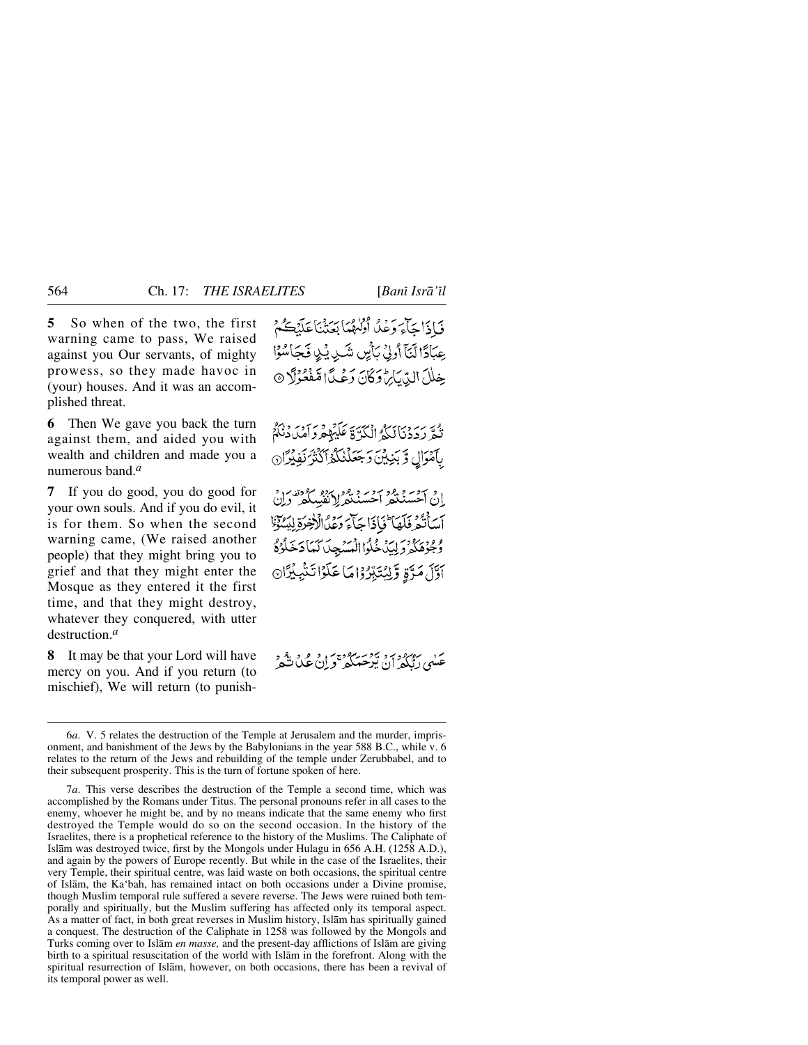**5** So when of the two, the first warning came to pass, We raised against you Our servants, of mighty prowess, so they made havoc in (your) houses. And it was an accomplished threat.

**6** Then We gave you back the turn against them, and aided you with wealth and children and made you a numerous band.*<sup>a</sup>*

**7** If you do good, you do good for your own souls. And if you do evil, it is for them. So when the second warning came, (We raised another people) that they might bring you to grief and that they might enter the Mosque as they entered it the first time, and that they might destroy, whatever they conquered, with utter destruction.*<sup>a</sup>*

**8** It may be that your Lord will have mercy on you. And if you return (to mischief), We will return (to punishفَيَاذَا جَآءَ وَعْدُ أَوْلَهُمَا بَعَثْنَا عَلَيْكُمْ عِبَادًا لَّنَآ أُولِيۡ بَأَيِّن شَدِ بِّدِي فَجَاسُوۡا خِلِلَ الدِّيَائِنِ دَكَنَ دَعْيَدًا مَّفَعُوْلًا ۞

تُعَ رَدَدْنَانَكُمُ الْكَرَّةَ عَلَيْهِهْ دَاَمْدَدْنَكُمْ بآمْوَالِ وَبَنِيْنَ وَجَعَلْنَكْمُ أَكْثَرُنَفِيْرًا @

اق آحسنگفر آحسنگفر (منفسکفر وان أَسَأَنُهُ فَلَهَا ۖ فَأَذَا جَأَءَ وَعَدُ الْإِخْرَةِ لِيَسُوْنَا وُمُحِوْهُكُمْ وَلِيدٌ خُلُواالْمُسْهِجِدَاكَهَا دَخَلُوْهُ أَوَّلَ مَرَّةٍ وَلِيُتَبِّرُوْاهَا عَلَوْاتَنْبِيْزَا⊚

عکهی رژو در بردس ده سده و در در در<br>عکهی رنگجر آن ترجعگگر و آن عک تشمر

<sup>6</sup>*a*. V. 5 relates the destruction of the Temple at Jerusalem and the murder, imprisonment, and banishment of the Jews by the Babylonians in the year 588 B.C., while v. 6 relates to the return of the Jews and rebuilding of the temple under Zerubbabel, and to their subsequent prosperity. This is the turn of fortune spoken of here.

<sup>7</sup>*a*. This verse describes the destruction of the Temple a second time, which was accomplished by the Romans under Titus. The personal pronouns refer in all cases to the enemy, whoever he might be, and by no means indicate that the same enemy who first destroyed the Temple would do so on the second occasion. In the history of the Israelites, there is a prophetical reference to the history of the Muslims. The Caliphate of Islåm was destroyed twice, first by the Mongols under Hulagu in 656 A.H. (1258 A.D.), and again by the powers of Europe recently. But while in the case of the Israelites, their very Temple, their spiritual centre, was laid waste on both occasions, the spiritual centre of Islåm, the Ka'bah, has remained intact on both occasions under a Divine promise, though Muslim temporal rule suffered a severe reverse. The Jews were ruined both temporally and spiritually, but the Muslim suffering has affected only its temporal aspect. As a matter of fact, in both great reverses in Muslim history, Islåm has spiritually gained a conquest. The destruction of the Caliphate in 1258 was followed by the Mongols and Turks coming over to Islåm *en masse,* and the present-day afflictions of Islåm are giving birth to a spiritual resuscitation of the world with Islåm in the forefront. Along with the spiritual resurrection of Islåm, however, on both occasions, there has been a revival of its temporal power as well.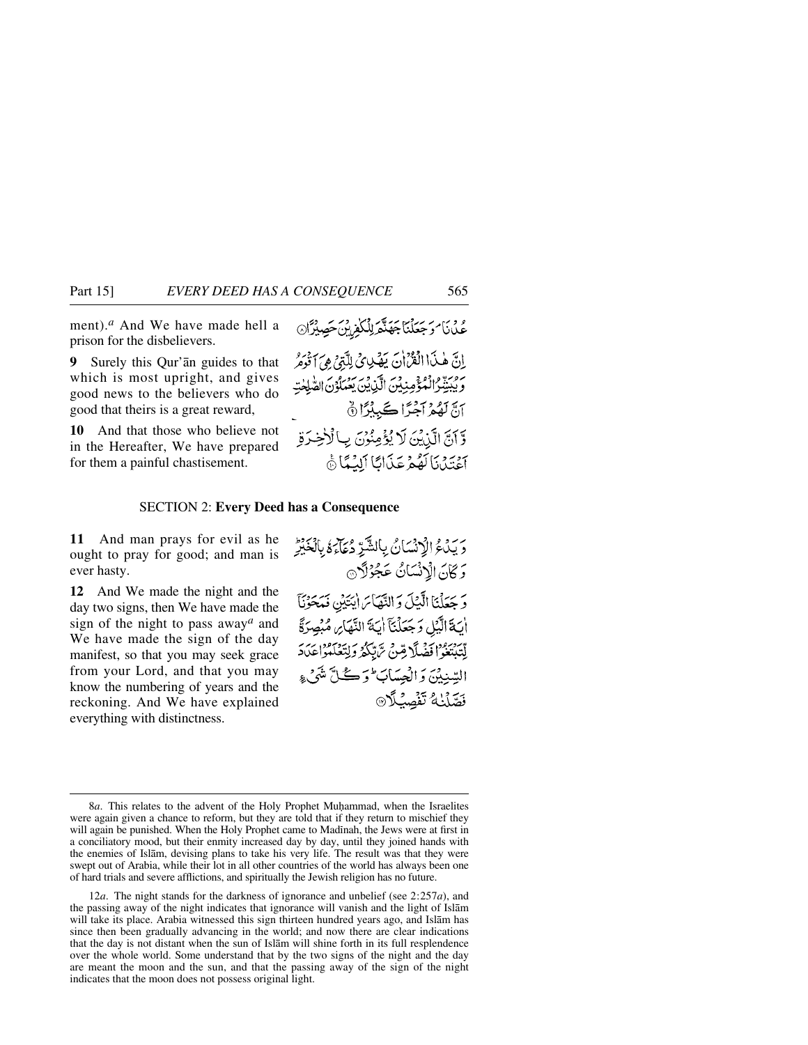ment).*<sup>a</sup>* And We have made hell a prison for the disbelievers.

**9** Surely this Qur'ån guides to that which is most upright, and gives good news to the believers who do good that theirs is a great reward,

**10** And that those who believe not in the Hereafter, We have prepared for them a painful chastisement.

اِنَّ هٰذَا الْقُرَّانَ يَهْدِي كَلَّتِنَ هِيَ اَقْوَمُ وَيُبِيَّنُوْالْمُؤْمِنِيْنَ الَّذِيْنَ يَعْمَلُوْنَ الصَّلِحٰتِ أَنَّ لَهُمْ آَجْرًا ڪَبِيْرًا  $\delta$ وَّ أَنَّ الَّذِيْنَ لَا يُؤْمِنُوْنَ بِ ٱلْأَخِيرَةِ بِهِ بِيَدْنَا لَعُهُمْ عَذَامًا أَلِيُبِيًا ۚ

<u>ٷڹ</u>

#### SECTION 2: **Every Deed has a Consequence**

**11** And man prays for evil as he ought to pray for good; and man is ever hasty.

**12** And We made the night and the day two signs, then We have made the sign of the night to pass away*<sup>a</sup>* and We have made the sign of the day manifest, so that you may seek grace from your Lord, and that you may know the numbering of years and the reckoning. And We have explained everything with distinctness.

دَيْدَعُ الْإِنْسَانُ بِالشَّيِّرْ دُعَاءَهُ بِالْغَيْرِ وَكَانَ الْإِنْسَانُ عَجُوْلًا وَجَعَلْنَا الَّذِلَ وَالنَّهَائِ ايْتَيْنِ مُحَوَّنَا أَيَةَ الَّبَٰلِ وَجَعَلْنَآ أَيَةَ النَّهَامِ مُبْصِرَةً يْسَرْ وَافْضَلَا قِينَ تَرَبِّكُمْ وَلِيَعْلَمُواعَدَدَ السِّنِيْنَ وَالْعِسَابَ وَكُلَّ شَيْءٍ فَصَّلْنَهُ تَفْصِلُهِ @

<sup>8</sup>*a*. This relates to the advent of the Holy Prophet Muhammad, when the Israelites were again given a chance to reform, but they are told that if they return to mischief they will again be punished. When the Holy Prophet came to Madinah, the Jews were at first in a conciliatory mood, but their enmity increased day by day, until they joined hands with the enemies of Islåm, devising plans to take his very life. The result was that they were swept out of Arabia, while their lot in all other countries of the world has always been one of hard trials and severe afflictions, and spiritually the Jewish religion has no future.

<sup>12</sup>*a*. The night stands for the darkness of ignorance and unbelief (see 2:257*a*), and the passing away of the night indicates that ignorance will vanish and the light of Islåm will take its place. Arabia witnessed this sign thirteen hundred years ago, and Islåm has since then been gradually advancing in the world; and now there are clear indications that the day is not distant when the sun of Islåm will shine forth in its full resplendence over the whole world. Some understand that by the two signs of the night and the day are meant the moon and the sun, and that the passing away of the sign of the night indicates that the moon does not possess original light.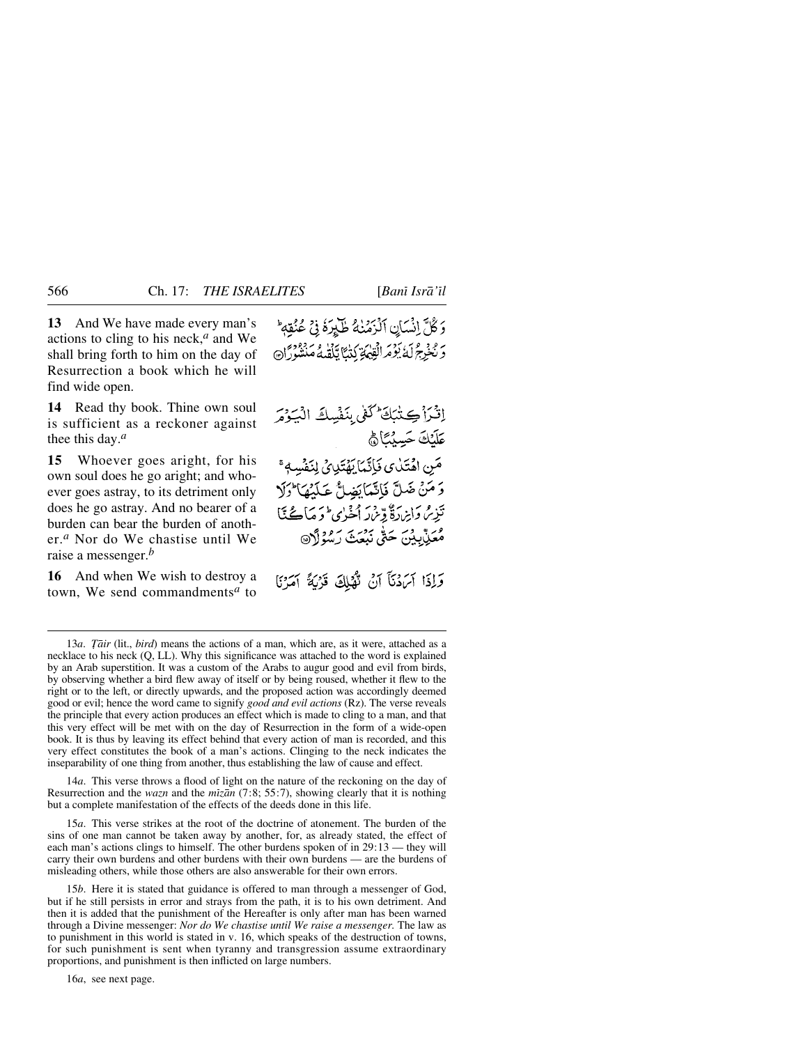**13** And We have made every man's actions to cling to his neck,*<sup>a</sup>* and We shall bring forth to him on the day of Resurrection a book which he will find wide open.

**14** Read thy book. Thine own soul is sufficient as a reckoner against thee this day.*<sup>a</sup>*

**15** Whoever goes aright, for his own soul does he go aright; and whoever goes astray, to its detriment only does he go astray. And no bearer of a burden can bear the burden of another.*<sup>a</sup>* Nor do We chastise until We raise a messenger.*<sup>b</sup>*

**16** And when We wish to destroy a town, We send commandments*<sup>a</sup>* to

وَكُلَّ إِنْسَانِ ٱلْزَمَٰنِهُ طَلِّرَةً فِي عُنُقِهِ ۚ دَ نْخْرِجْ لَهُ بَوْمَرالْقِيْهَةِ كَدَّنَا يَلْقَدِمُهُ مَنْشُورًا۞

إِثْرَاْكِتْبَكَ كَفَى بِنَفْسِكَ الْيَوْمَر عَلَّنْكَ حَسِبْتَانَ مَنِ اهْتَدٰى فَأِنَّمَا بَهُتَدِىْ لِنَفْسِ وَ مَنْ ضَلِّ فَإِنَّمَا يَضِلُّ عَلَيْهَا ۚ وَلَا تَذِيرُ وَإِبْرَادَةٌ وِّينِ لَهِ فَنَ الصَّلَّ عَلَيْهَا وبَّ وبِرِ حَتَّى نَبْعَتَ رَسُوۡوَٱ۞

وَإِذَا آَمَنُنَآ آَنۡ تُهۡلِكَ قَرۡيَةً آمَرۡنَا

14*a*. This verse throws a flood of light on the nature of the reckoning on the day of Resurrection and the *wazn* and the *mizan* (7:8; 55:7), showing clearly that it is nothing but a complete manifestation of the effects of the deeds done in this life.

15*a*. This verse strikes at the root of the doctrine of atonement. The burden of the sins of one man cannot be taken away by another, for, as already stated, the effect of each man's actions clings to himself. The other burdens spoken of in 29:13 — they will carry their own burdens and other burdens with their own burdens — are the burdens of misleading others, while those others are also answerable for their own errors.

15*b*. Here it is stated that guidance is offered to man through a messenger of God, but if he still persists in error and strays from the path, it is to his own detriment. And then it is added that the punishment of the Hereafter is only after man has been warned through a Divine messenger: *Nor do We chastise until We raise a messenger.* The law as to punishment in this world is stated in v. 16, which speaks of the destruction of towns, for such punishment is sent when tyranny and transgression assume extraordinary proportions, and punishment is then inflicted on large numbers.

16*a*, see next page.

<sup>13</sup>*a. Tair* (lit., *bird*) means the actions of a man, which are, as it were, attached as a necklace to his neck (Q, LL). Why this significance was attached to the word is explained by an Arab superstition. It was a custom of the Arabs to augur good and evil from birds, by observing whether a bird flew away of itself or by being roused, whether it flew to the right or to the left, or directly upwards, and the proposed action was accordingly deemed good or evil; hence the word came to signify *good and evil actions* (Rz). The verse reveals the principle that every action produces an effect which is made to cling to a man, and that this very effect will be met with on the day of Resurrection in the form of a wide-open book. It is thus by leaving its effect behind that every action of man is recorded, and this very effect constitutes the book of a man's actions. Clinging to the neck indicates the inseparability of one thing from another, thus establishing the law of cause and effect.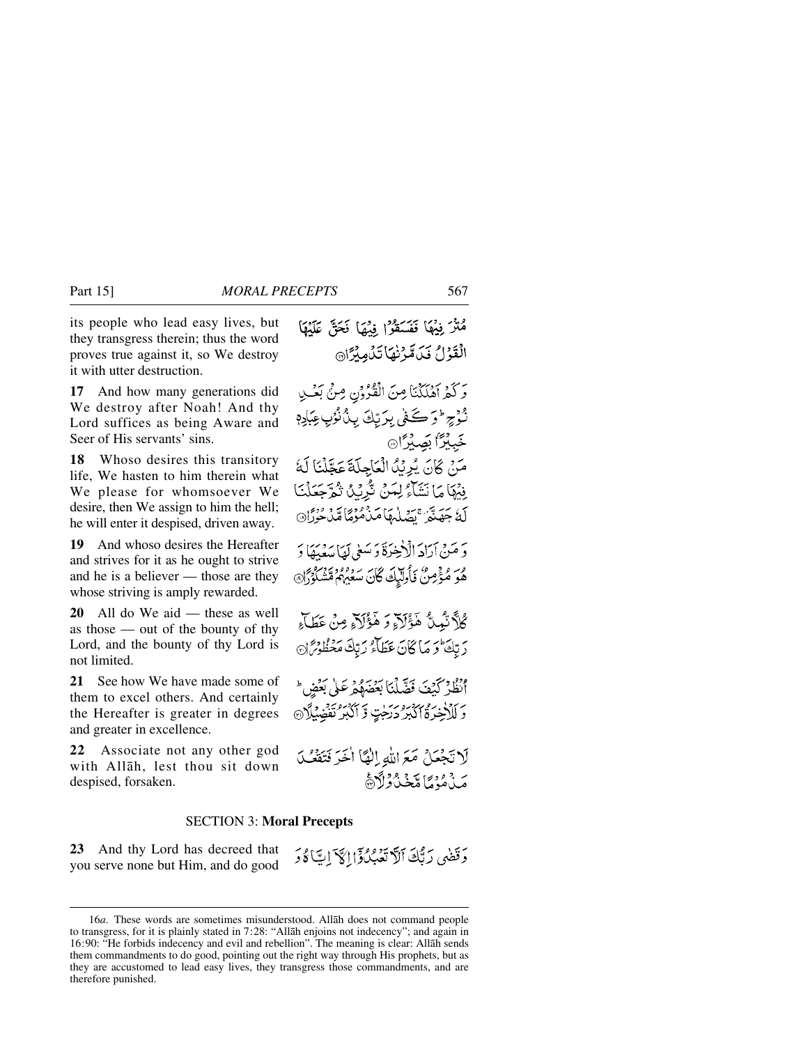its people who lead easy lives, but they transgress therein; thus the word proves true against it, so We destroy it with utter destruction.

**17** And how many generations did We destroy after Noah! And thy Lord suffices as being Aware and Seer of His servants' sins.

**18** Whoso desires this transitory life, We hasten to him therein what We please for whomsoever We desire, then We assign to him the hell; he will enter it despised, driven away.

**19** And whoso desires the Hereafter and strives for it as he ought to strive and he is a believer — those are they whose striving is amply rewarded.

**20** All do We aid — these as well as those — out of the bounty of thy Lord, and the bounty of thy Lord is not limited.

**21** See how We have made some of them to excel others. And certainly the Hereafter is greater in degrees and greater in excellence.

**22** Associate not any other god with Allåh, lest thou sit down despised, forsaken.

#### SECTION 3: **Moral Precepts**

**23** And thy Lord has decreed that you serve none but Him, and do good

مُتْرَ فِيُهَا فَفَسَقَوْا فِيْهَا فَحَقَّ عَلَيْهَا الْقَوْلُ فَيَكَدَّنَّهَا تَنْهِيْزَانَ وَكَمْ آهُلَكْنَا مِنَ الْقُرُوْنِ مِنْ بَعْلِ نُوْجِ ۚ ﴿ وَ كَـٰٓ فِي بِرَيِّكَ بِينُ نُوُبٍ عِبَادِمٖ خَبِيْرًا بَصِيْرًا® مَنْ كَانَ يُرِيْدُ الْعَاجِلَةَ عَجَّلْنَا لَهُ فِيْهَا مَا نَشَاءُ لِمَنْ تُرِيْدُ ثُمَّ جَعَلْنَا لَهُ جَهَنَّتُمْ تَصَلَّمَهَا مَنْهُوَهُا مَّنْ مُؤْمَّا وَ مَنْ آرَادَ الْإِخِيرَةَ وَ سَعٰى لَهَا مَدَمَهَا دَ مُوَ مُؤْمِنٌ فَأُولَيْكَ كَانَ سَعَيْهُمْ مَّشْكُوْرًا كُلَّا تَبُمِنَّ هَؤُلَاَءِ وَ هَؤُلَاَءِ مِنْ عَطَاءِ رَبِّكَ وَمَا كَانَ عَطَاءُ رَبِّكَ مَعْظُوْمٌ نَ إِنظُرْكَيْفَ فَضَّلْنَا بَعْضَهُمْرَعَلٰى بَعْضٍ \* وَ لَلْأَخِرَةُ أَكْبَرُ دَرَجَٰتٍ وَ أَكْبَرُ تَقْضِيْلًا ۞ لَاتَّجْعَلُ مَعَ اللهِ إِلَيَّا أَخَرَ فَتَقَعُّـلَ مَنْ مُنْ مَا مِّخْذُرُ لَاَرْهَ

دَقَضَى رَبُّكَ ٱلَّاتَعَبُّلُ ذَالِكَا َاِيًّا لَهُ وَ

<sup>16</sup>*a*. These words are sometimes misunderstood. Allåh does not command people to transgress, for it is plainly stated in 7:28: "Allåh enjoins not indecency"; and again in 16:90: "He forbids indecency and evil and rebellion". The meaning is clear: Allåh sends them commandments to do good, pointing out the right way through His prophets, but as they are accustomed to lead easy lives, they transgress those commandments, and are therefore punished.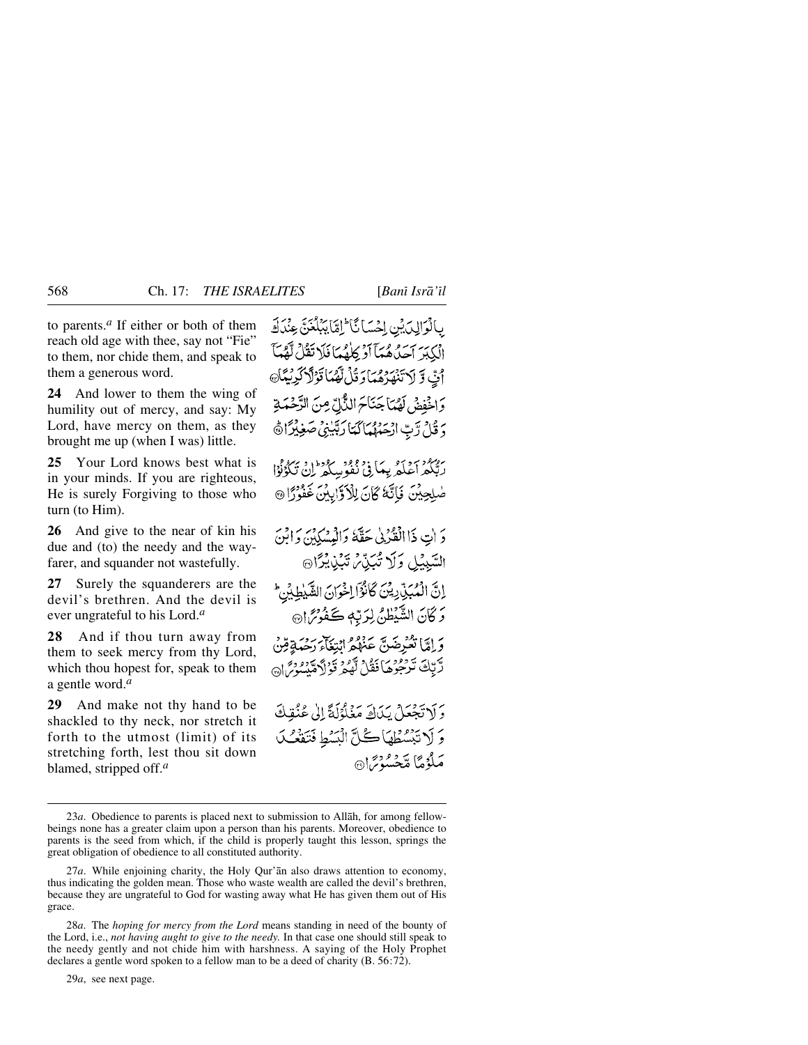to parents.*<sup>a</sup>* If either or both of them reach old age with thee, say not "Fie" to them, nor chide them, and speak to them a generous word.

**24** And lower to them the wing of humility out of mercy, and say: My Lord, have mercy on them, as they brought me up (when I was) little.

**25** Your Lord knows best what is in your minds. If you are righteous, He is surely Forgiving to those who turn (to Him).

**26** And give to the near of kin his due and (to) the needy and the wayfarer, and squander not wastefully.

**27** Surely the squanderers are the devil's brethren. And the devil is ever ungrateful to his Lord.*<sup>a</sup>*

**28** And if thou turn away from them to seek mercy from thy Lord, which thou hopest for, speak to them a gentle word.*<sup>a</sup>*

**29** And make not thy hand to be shackled to thy neck, nor stretch it forth to the utmost (limit) of its stretching forth, lest thou sit down blamed, stripped off.*<sup>a</sup>*

بِالْوَالِدَيْنِ إِحْسَا ئَا َ إِمَّا بِبَلْغَنَّ عِنْدَكَ الْكِبَرَ آحِدٌهُ هُمَّآ أَوْ كِلْهُمَا فَلَا تَقُلْ لَّهُمَّاً أَيَّ وَّ لَا تَنْهَرُهُمَا وَقُلْ لَّهُمَا قَوْلَا كَرِيْمَا وَاخْفِضْ لَهُمَا جَنَاحَ النَّالِّ مِنَ الرَّحْمَةِ دَ قُلْ رَّبِّ الْحَمْهُمَاكَتَا رَبَّيْنِي صَغِيْرًا ﴾

ر، دور به ديد به بيد دور دور دارد برد.<br>رېگه اعلمريها في نفو سگه لن تگونوا صْلِحِيْنَ فَإِنَّهُ كَانَ لِلْأَوَّابِيْنَ غَفُوْرًا @

دَ إِنَّ ذَا الْقَدْيِي حَقَّهُ وَالْمَسْكِينَ وَإِبْنَ السَّبِيْلِ وَلَا تُبَيِّنَ تَبَيْنِيْهِمْ يَرَانَ إِنَّ الْمُبَنِّ دِيْنَ كَانُوۡٓالِخُوَانَ الشَّيٰطِيۡنِ ۖ وَكَانَ الشَّيْطُنُّ لِرَبِّهٖ كَفُوْتَرَا® وَ إِمَّا تَعْرِضَيٌّ عَنَهُمْ إِنَّ يَجْرَبُهُ بِيَضْ قِنْ دَّتِكَ تَرْجُوهُ) فَقُلْ لَهُمْ قَوْلاَهْتُدُورُ إِنَّ

دَ لَا تَجْعَلْ بِكَاكَ مَغْلُوْلَةً إِلَىٰ عُنُقِكَ وَ لَا تَبْسُطُهَا كُلَّ الْيَسُطِ فَتَقْعُبُ مَلَوْمًا مَّحْسُوْسًا۞

29*a*, see next page.

<sup>23</sup>*a*. Obedience to parents is placed next to submission to Allåh, for among fellowbeings none has a greater claim upon a person than his parents. Moreover, obedience to parents is the seed from which, if the child is properly taught this lesson, springs the great obligation of obedience to all constituted authority.

<sup>27</sup>*a*. While enjoining charity, the Holy Qur'ån also draws attention to economy, thus indicating the golden mean. Those who waste wealth are called the devil's brethren, because they are ungrateful to God for wasting away what He has given them out of His grace.

<sup>28</sup>*a*. The *hoping for mercy from the Lord* means standing in need of the bounty of the Lord, i.e., *not having aught to give to the needy.* In that case one should still speak to the needy gently and not chide him with harshness. A saying of the Holy Prophet declares a gentle word spoken to a fellow man to be a deed of charity (B. 56:72).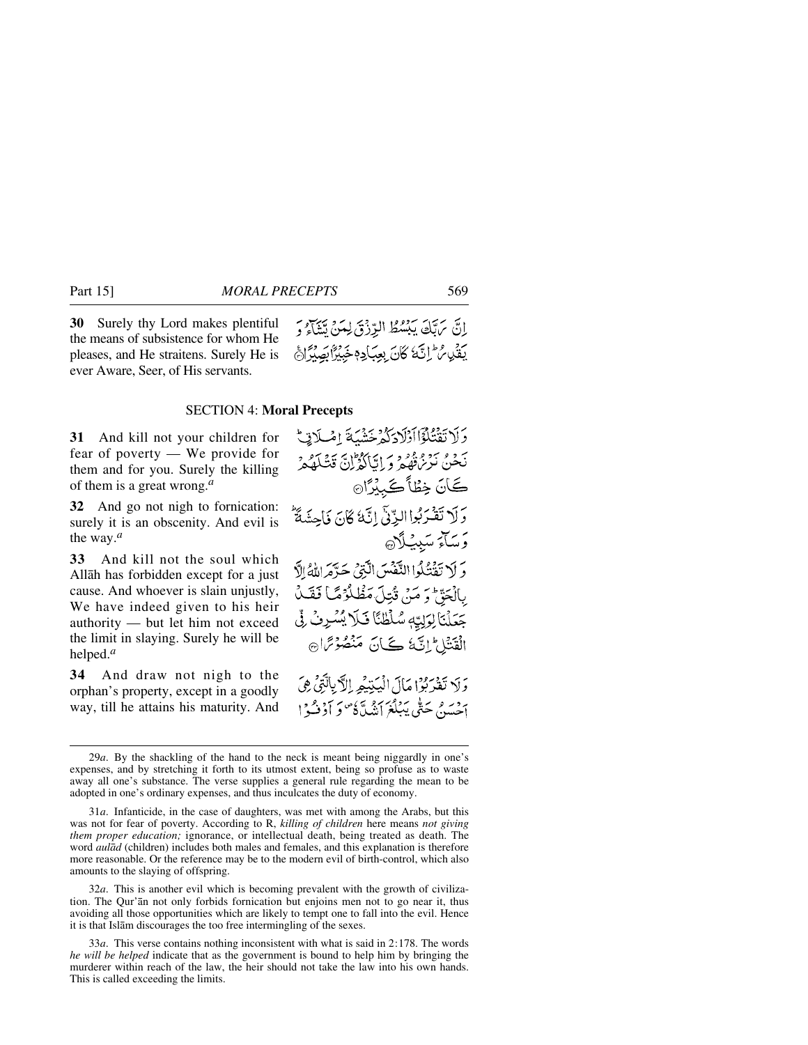**30** Surely thy Lord makes plentiful the means of subsistence for whom He pleases, and He straitens. Surely He is ever Aware, Seer, of His servants.

إِنَّ مَرَبِّكَ يَبْسُطُ الرِّزْقَ لِمَنْ تَتَنَاءُ وَ يَقَيْبِ ثَرَّ إِنَّكَ كَانَ بِعِبَادِ وَخَبِيْرًا بِصِبْرًا جَ

#### SECTION 4: **Moral Precepts**

**31** And kill not your children for fear of poverty — We provide for them and for you. Surely the killing of them is a great wrong.*<sup>a</sup>*

**32** And go not nigh to fornication: surely it is an obscenity. And evil is the way.*<sup>a</sup>*

**33** And kill not the soul which Allåh has forbidden except for a just cause. And whoever is slain unjustly, We have indeed given to his heir authority — but let him not exceed the limit in slaying. Surely he will be helped.*<sup>a</sup>*

**34** And draw not nigh to the orphan's property, except in a goodly way, till he attains his maturity. And

وَلَا تَقْتُلُوْۤا اَوْلَادَكُمْ خَشْبَةَ اِمْلَاتِيْ بَحْدِي بَنْ مِعْ مِعْ وَ إِيَّا كَدْ إِنَّ قَشَلَهُ مِنْ ڪَانَ خِطْأَڪَبِيۡرَا۞ وَلَا تَقْرَبُوا الزِّنَّى إِنَّهُ كَانَ فَأَحِشَةٌ وَسَآءَ سَبِيئِيلَآهِ دَ لَا يَقْتُلُوا النَّفْسَ الَّذِي حَدَّهَ اللَّهُ الَّ بِالْحَقِّ وَ مَنْ قُتِلَ مَظْلُوْمًا فَقَلْ جَعَلْنَا لِوَلِيِّهِ سُلْطُنَّا فَلَا يُسْرِفُ لِّي الْقَنْتَاعِ إِنَّكَ كَيْ لَنْ مَنْصُوْتِرَاهِ

وَلَا تَفْرَبُوْا مَالَ الْيَتِيْمِ الْآيِالَّتِيْ هِيَ بردسر بحتى يَبْلُغَ أَنْبُيَّةً وَ أَوْفُسُوا إِ

32*a*. This is another evil which is becoming prevalent with the growth of civilization. The Qur'ån not only forbids fornication but enjoins men not to go near it, thus avoiding all those opportunities which are likely to tempt one to fall into the evil. Hence it is that Islåm discourages the too free intermingling of the sexes.

33*a*. This verse contains nothing inconsistent with what is said in 2:178. The words *he will be helped* indicate that as the government is bound to help him by bringing the murderer within reach of the law, the heir should not take the law into his own hands. This is called exceeding the limits.

<sup>29</sup>*a*. By the shackling of the hand to the neck is meant being niggardly in one's expenses, and by stretching it forth to its utmost extent, being so profuse as to waste away all one's substance. The verse supplies a general rule regarding the mean to be adopted in one's ordinary expenses, and thus inculcates the duty of economy.

<sup>31</sup>*a*. Infanticide, in the case of daughters, was met with among the Arabs, but this was not for fear of poverty. According to R, *killing of children* here means *not giving them proper education;* ignorance, or intellectual death, being treated as death. The word *aulåd* (children) includes both males and females, and this explanation is therefore more reasonable. Or the reference may be to the modern evil of birth-control, which also amounts to the slaying of offspring.